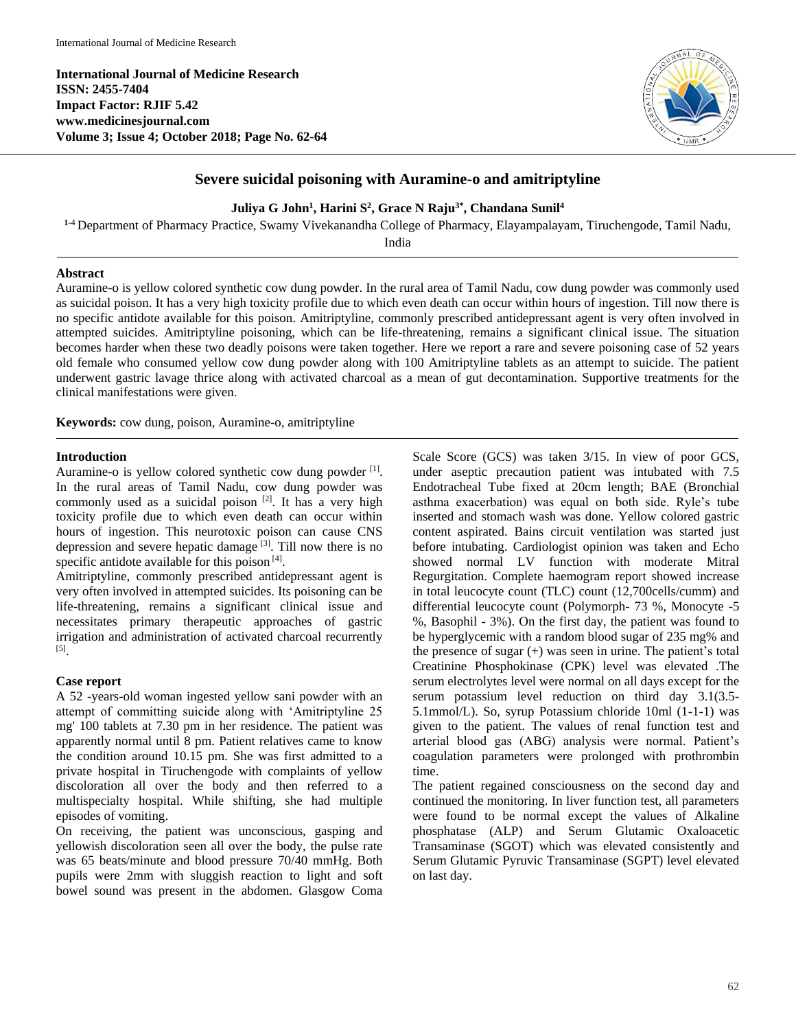**International Journal of Medicine Research ISSN: 2455-7404 Impact Factor: RJIF 5.42 www.medicinesjournal.com Volume 3; Issue 4; October 2018; Page No. 62-64**



# **Severe suicidal poisoning with Auramine-o and amitriptyline**

### **Juliya G John<sup>1</sup> , Harini S 2 , Grace N Raju3\*, Chandana Sunil<sup>4</sup>**

**<sup>1</sup>**-4 Department of Pharmacy Practice, Swamy Vivekanandha College of Pharmacy, Elayampalayam, Tiruchengode, Tamil Nadu,

India

## **Abstract**

Auramine-o is yellow colored synthetic cow dung powder. In the rural area of Tamil Nadu, cow dung powder was commonly used as suicidal poison. It has a very high toxicity profile due to which even death can occur within hours of ingestion. Till now there is no specific antidote available for this poison. Amitriptyline, commonly prescribed antidepressant agent is very often involved in attempted suicides. Amitriptyline poisoning, which can be life-threatening, remains a significant clinical issue. The situation becomes harder when these two deadly poisons were taken together. Here we report a rare and severe poisoning case of 52 years old female who consumed yellow cow dung powder along with 100 Amitriptyline tablets as an attempt to suicide. The patient underwent gastric lavage thrice along with activated charcoal as a mean of gut decontamination. Supportive treatments for the clinical manifestations were given.

**Keywords:** cow dung, poison, Auramine-o, amitriptyline

### **Introduction**

Auramine-o is yellow colored synthetic cow dung powder [1]. In the rural areas of Tamil Nadu, cow dung powder was commonly used as a suicidal poison<sup>[2]</sup>. It has a very high toxicity profile due to which even death can occur within hours of ingestion. This neurotoxic poison can cause CNS depression and severe hepatic damage<sup>[3]</sup>. Till now there is no specific antidote available for this poison<sup>[4]</sup>.

Amitriptyline, commonly prescribed antidepressant agent is very often involved in attempted suicides. Its poisoning can be life-threatening, remains a significant clinical issue and necessitates primary therapeutic approaches of gastric irrigation and administration of activated charcoal recurrently [5] .

#### **Case report**

A 52 -years-old woman ingested yellow sani powder with an attempt of committing suicide along with 'Amitriptyline 25 mg' 100 tablets at 7.30 pm in her residence. The patient was apparently normal until 8 pm. Patient relatives came to know the condition around 10.15 pm. She was first admitted to a private hospital in Tiruchengode with complaints of yellow discoloration all over the body and then referred to a multispecialty hospital. While shifting, she had multiple episodes of vomiting.

On receiving, the patient was unconscious, gasping and yellowish discoloration seen all over the body, the pulse rate was 65 beats/minute and blood pressure 70/40 mmHg. Both pupils were 2mm with sluggish reaction to light and soft bowel sound was present in the abdomen. Glasgow Coma

Scale Score (GCS) was taken 3/15. In view of poor GCS, under aseptic precaution patient was intubated with 7.5 Endotracheal Tube fixed at 20cm length; BAE (Bronchial asthma exacerbation) was equal on both side. Ryle's tube inserted and stomach wash was done. Yellow colored gastric content aspirated. Bains circuit ventilation was started just before intubating. Cardiologist opinion was taken and Echo showed normal LV function with moderate Mitral Regurgitation. Complete haemogram report showed increase in total leucocyte count (TLC) count (12,700cells/cumm) and differential leucocyte count (Polymorph- 73 %, Monocyte -5 %, Basophil - 3%). On the first day, the patient was found to be hyperglycemic with a random blood sugar of 235 mg% and the presence of sugar (+) was seen in urine. The patient's total Creatinine Phosphokinase (CPK) level was elevated .The serum electrolytes level were normal on all days except for the serum potassium level reduction on third day 3.1(3.5- 5.1mmol/L). So, syrup Potassium chloride 10ml (1-1-1) was given to the patient. The values of renal function test and arterial blood gas (ABG) analysis were normal. Patient's coagulation parameters were prolonged with prothrombin time.

The patient regained consciousness on the second day and continued the monitoring. In liver function test, all parameters were found to be normal except the values of Alkaline phosphatase (ALP) and Serum Glutamic Oxaloacetic Transaminase (SGOT) which was elevated consistently and Serum Glutamic Pyruvic Transaminase (SGPT) level elevated on last day.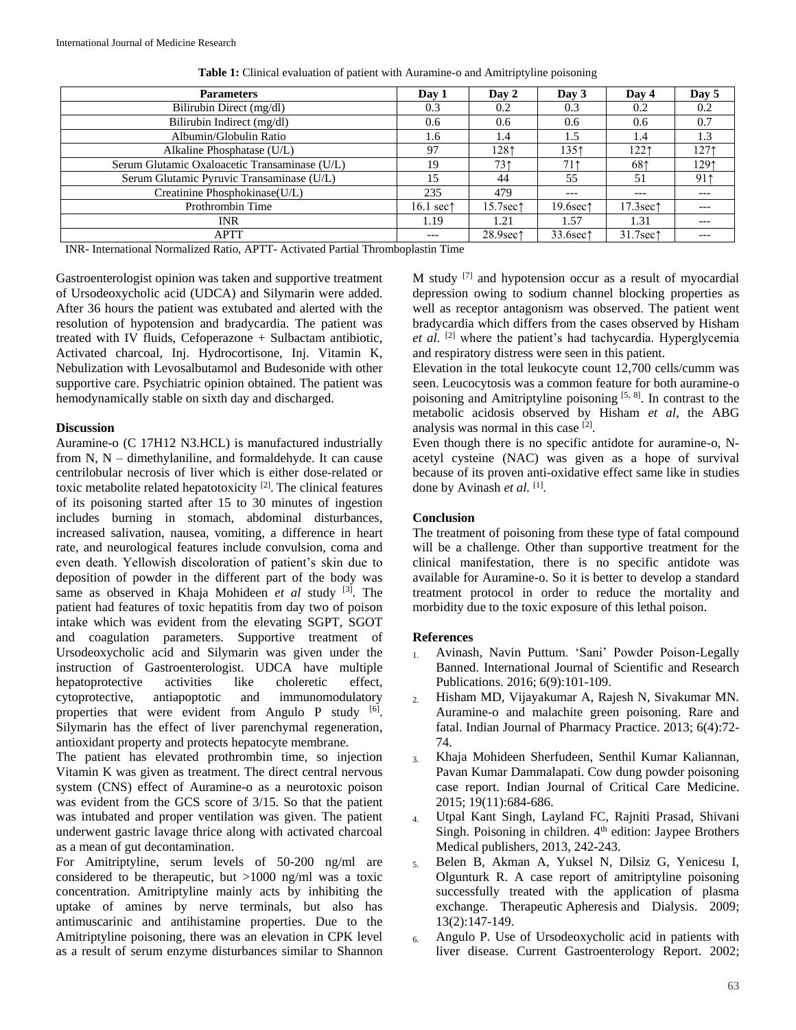| <b>Parameters</b>                             | Day 1               | Day 2                 | Day 3                | Day 4                 | Day 5 |
|-----------------------------------------------|---------------------|-----------------------|----------------------|-----------------------|-------|
| Bilirubin Direct (mg/dl)                      | 0.3                 | 0.2                   | 0.3                  | 0.2                   | 0.2   |
| Bilirubin Indirect (mg/dl)                    | 0.6                 | 0.6                   | 0.6                  | 0.6                   | 0.7   |
| Albumin/Globulin Ratio                        | 1.6                 | 1.4                   | 1.5                  | 1.4                   | 1.3   |
| Alkaline Phosphatase (U/L)                    | 97                  | 1281                  | 1351                 | 1221                  | 1271  |
| Serum Glutamic Oxaloacetic Transaminase (U/L) | 19                  | 731                   | 711                  | 681                   | 1291  |
| Serum Glutamic Pyruvic Transaminase (U/L)     | 15                  | 44                    | 55                   | 51                    | 91    |
| Creatinine Phosphokinase(U/L)                 | 235                 | 479                   | $---$                | ---                   |       |
| Prothrombin Time                              | 16.1 sec $\uparrow$ | 15.7sec1              | 19.6sec <sup>1</sup> | 17.3sec <sub>1</sub>  | ---   |
| INR                                           | 1.19                | 1.21                  | 1.57                 | 1.31                  |       |
| <b>APTT</b>                                   | ---                 | $28.9$ sec $\uparrow$ | 33.6sec <sup>1</sup> | $31.7$ sec $\uparrow$ | ---   |
|                                               | .                   |                       |                      |                       |       |

**Table 1:** Clinical evaluation of patient with Auramine-o and Amitriptyline poisoning

INR- International Normalized Ratio, APTT- Activated Partial Thromboplastin Time

Gastroenterologist opinion was taken and supportive treatment of Ursodeoxycholic acid (UDCA) and Silymarin were added. After 36 hours the patient was extubated and alerted with the resolution of hypotension and bradycardia. The patient was treated with IV fluids, Cefoperazone + Sulbactam antibiotic, Activated charcoal, Inj. Hydrocortisone, Inj. Vitamin K, Nebulization with Levosalbutamol and Budesonide with other supportive care. Psychiatric opinion obtained. The patient was hemodynamically stable on sixth day and discharged.

### **Discussion**

Auramine-o (C 17H12 N3.HCL) is manufactured industrially from N, N – dimethylaniline, and formaldehyde. It can cause centrilobular necrosis of liver which is either dose-related or toxic metabolite related hepatotoxicity<sup>[2]</sup>. The clinical features of its poisoning started after 15 to 30 minutes of ingestion includes burning in stomach, abdominal disturbances, increased salivation, nausea, vomiting, a difference in heart rate, and neurological features include convulsion, coma and even death. Yellowish discoloration of patient's skin due to deposition of powder in the different part of the body was same as observed in Khaja Mohideen *et al* study [3]. The patient had features of toxic hepatitis from day two of poison intake which was evident from the elevating SGPT, SGOT and coagulation parameters. Supportive treatment of Ursodeoxycholic acid and Silymarin was given under the instruction of Gastroenterologist. UDCA have multiple hepatoprotective activities like choleretic effect, cytoprotective, antiapoptotic and immunomodulatory properties that were evident from Angulo P study [6]. Silymarin has the effect of liver parenchymal regeneration, antioxidant property and protects hepatocyte membrane.

The patient has elevated prothrombin time, so injection Vitamin K was given as treatment. The direct central nervous system (CNS) effect of Auramine-o as a neurotoxic poison was evident from the GCS score of 3/15. So that the patient was intubated and proper ventilation was given. The patient underwent gastric lavage thrice along with activated charcoal as a mean of gut decontamination.

For Amitriptyline, serum levels of 50-200 ng/ml are considered to be therapeutic, but >1000 ng/ml was a toxic concentration. Amitriptyline mainly acts by inhibiting the uptake of amines by nerve terminals, but also has antimuscarinic and antihistamine properties. Due to the Amitriptyline poisoning, there was an elevation in CPK level as a result of serum enzyme disturbances similar to Shannon M study [7] and hypotension occur as a result of myocardial depression owing to sodium channel blocking properties as well as receptor antagonism was observed. The patient went bradycardia which differs from the cases observed by Hisham et al. <sup>[2]</sup> where the patient's had tachycardia. Hyperglycemia and respiratory distress were seen in this patient.

Elevation in the total leukocyte count 12,700 cells/cumm was seen. Leucocytosis was a common feature for both auramine-o poisoning and Amitriptyline poisoning [5, 8]. In contrast to the metabolic acidosis observed by Hisham *et al*, the ABG analysis was normal in this case [2].

Even though there is no specific antidote for auramine-o, Nacetyl cysteine (NAC) was given as a hope of survival because of its proven anti-oxidative effect same like in studies done by Avinash et al.<sup>[1]</sup>.

## **Conclusion**

The treatment of poisoning from these type of fatal compound will be a challenge. Other than supportive treatment for the clinical manifestation, there is no specific antidote was available for Auramine-o. So it is better to develop a standard treatment protocol in order to reduce the mortality and morbidity due to the toxic exposure of this lethal poison.

## **References**

- 1. Avinash, Navin Puttum. 'Sani' Powder Poison-Legally Banned. International Journal of Scientific and Research Publications. 2016; 6(9):101-109.
- 2. Hisham MD, Vijayakumar A, Rajesh N, Sivakumar MN. Auramine-o and malachite green poisoning. Rare and fatal. Indian Journal of Pharmacy Practice. 2013; 6(4):72- 74.
- 3. Khaja Mohideen Sherfudeen, Senthil Kumar Kaliannan, Pavan Kumar Dammalapati. Cow dung powder poisoning case report. Indian Journal of Critical Care Medicine. 2015; 19(11):684-686.
- 4. Utpal Kant Singh, Layland FC, Rajniti Prasad, Shivani Singh. Poisoning in children.  $4<sup>th</sup>$  edition: Jaypee Brothers Medical publishers, 2013, 242-243.
- 5. Belen B, Akman A, Yuksel N, Dilsiz G, Yenicesu I, Olgunturk R. A case report of amitriptyline poisoning successfully treated with the application of plasma exchange. Therapeutic Apheresis and Dialysis. 2009; 13(2):147-149.
- 6. Angulo P. Use of Ursodeoxycholic acid in patients with liver disease. Current Gastroenterology Report. 2002;